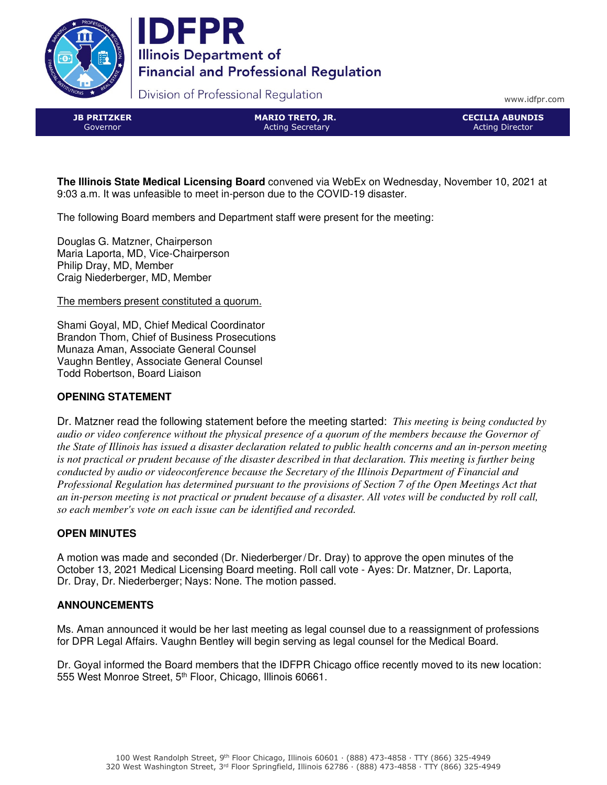



Division of Professional Regulation

www.idfpr.com

JB PRITZKER Governor

MARIO TRETO, JR. Acting Secretary

CECILIA ABUNDIS Acting Director

**The Illinois State Medical Licensing Board** convened via WebEx on Wednesday, November 10, 2021 at 9:03 a.m. It was unfeasible to meet in-person due to the COVID-19 disaster.

The following Board members and Department staff were present for the meeting:

Douglas G. Matzner, Chairperson Maria Laporta, MD, Vice-Chairperson Philip Dray, MD, Member Craig Niederberger, MD, Member

The members present constituted a quorum.

Shami Goyal, MD, Chief Medical Coordinator Brandon Thom, Chief of Business Prosecutions Munaza Aman, Associate General Counsel Vaughn Bentley, Associate General Counsel Todd Robertson, Board Liaison

# **OPENING STATEMENT**

Dr. Matzner read the following statement before the meeting started: *This meeting is being conducted by audio or video conference without the physical presence of a quorum of the members because the Governor of the State of Illinois has issued a disaster declaration related to public health concerns and an in-person meeting is not practical or prudent because of the disaster described in that declaration. This meeting is further being conducted by audio or videoconference because the Secretary of the Illinois Department of Financial and Professional Regulation has determined pursuant to the provisions of Section 7 of the Open Meetings Act that an in-person meeting is not practical or prudent because of a disaster. All votes will be conducted by roll call, so each member's vote on each issue can be identified and recorded.* 

## **OPEN MINUTES**

A motion was made and seconded (Dr. Niederberger/Dr. Dray) to approve the open minutes of the October 13, 2021 Medical Licensing Board meeting. Roll call vote - Ayes: Dr. Matzner, Dr. Laporta, Dr. Dray, Dr. Niederberger; Nays: None. The motion passed.

## **ANNOUNCEMENTS**

Ms. Aman announced it would be her last meeting as legal counsel due to a reassignment of professions for DPR Legal Affairs. Vaughn Bentley will begin serving as legal counsel for the Medical Board.

Dr. Goyal informed the Board members that the IDFPR Chicago office recently moved to its new location: 555 West Monroe Street, 5<sup>th</sup> Floor, Chicago, Illinois 60661.